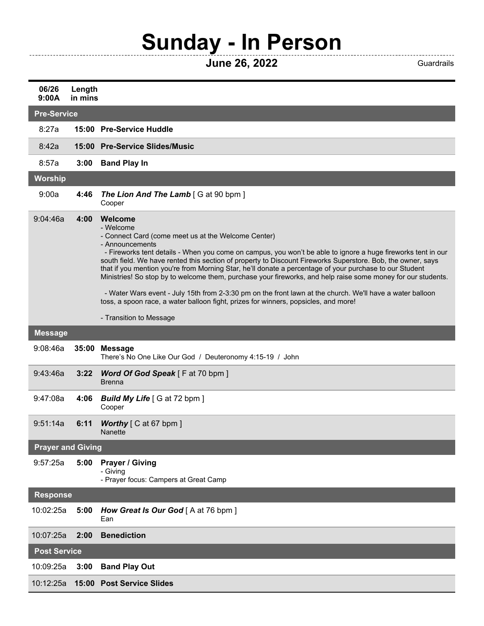## **Sunday - In Person**

**June 26, 2022** Guardrails

----------------------

| 06/26<br>9:00A             | Length<br>in mins |                                                                                                                                                                                                                                                                                                                                                                                                                                                                                                                                                                                                                                                                                                                                                              |  |  |
|----------------------------|-------------------|--------------------------------------------------------------------------------------------------------------------------------------------------------------------------------------------------------------------------------------------------------------------------------------------------------------------------------------------------------------------------------------------------------------------------------------------------------------------------------------------------------------------------------------------------------------------------------------------------------------------------------------------------------------------------------------------------------------------------------------------------------------|--|--|
| <b>Pre-Service</b>         |                   |                                                                                                                                                                                                                                                                                                                                                                                                                                                                                                                                                                                                                                                                                                                                                              |  |  |
| 8:27a                      |                   | 15:00 Pre-Service Huddle                                                                                                                                                                                                                                                                                                                                                                                                                                                                                                                                                                                                                                                                                                                                     |  |  |
| 8:42a                      |                   | 15:00 Pre-Service Slides/Music                                                                                                                                                                                                                                                                                                                                                                                                                                                                                                                                                                                                                                                                                                                               |  |  |
| 8:57a                      | 3:00              | <b>Band Play In</b>                                                                                                                                                                                                                                                                                                                                                                                                                                                                                                                                                                                                                                                                                                                                          |  |  |
| <b>Worship</b>             |                   |                                                                                                                                                                                                                                                                                                                                                                                                                                                                                                                                                                                                                                                                                                                                                              |  |  |
| 9:00a                      | 4:46              | <b>The Lion And The Lamb</b> [G at 90 bpm]<br>Cooper                                                                                                                                                                                                                                                                                                                                                                                                                                                                                                                                                                                                                                                                                                         |  |  |
| 9:04:46a                   | 4:00              | Welcome<br>- Welcome<br>- Connect Card (come meet us at the Welcome Center)<br>- Announcements<br>- Fireworks tent details - When you come on campus, you won't be able to ignore a huge fireworks tent in our<br>south field. We have rented this section of property to Discount Fireworks Superstore. Bob, the owner, says<br>that if you mention you're from Morning Star, he'll donate a percentage of your purchase to our Student<br>Ministries! So stop by to welcome them, purchase your fireworks, and help raise some money for our students.<br>- Water Wars event - July 15th from 2-3:30 pm on the front lawn at the church. We'll have a water balloon<br>toss, a spoon race, a water balloon fight, prizes for winners, popsicles, and more! |  |  |
|                            |                   | - Transition to Message                                                                                                                                                                                                                                                                                                                                                                                                                                                                                                                                                                                                                                                                                                                                      |  |  |
| <b>Message</b><br>9:08:46a | 35:00             | Message<br>There's No One Like Our God / Deuteronomy 4:15-19 / John                                                                                                                                                                                                                                                                                                                                                                                                                                                                                                                                                                                                                                                                                          |  |  |
| 9:43:46a                   | 3:22              | <b>Word Of God Speak</b> [F at 70 bpm ]<br><b>Brenna</b>                                                                                                                                                                                                                                                                                                                                                                                                                                                                                                                                                                                                                                                                                                     |  |  |
| 9:47:08a                   | 4:06              | <b>Build My Life</b> [G at 72 bpm ]<br>Cooper                                                                                                                                                                                                                                                                                                                                                                                                                                                                                                                                                                                                                                                                                                                |  |  |
| 9:51:14a                   | 6:11              | <b>Worthy</b> $\lceil$ C at 67 bpm $\rceil$<br>Nanette                                                                                                                                                                                                                                                                                                                                                                                                                                                                                                                                                                                                                                                                                                       |  |  |
| <b>Prayer and Giving</b>   |                   |                                                                                                                                                                                                                                                                                                                                                                                                                                                                                                                                                                                                                                                                                                                                                              |  |  |
| 9:57:25a                   | 5:00              | <b>Prayer / Giving</b><br>- Giving<br>- Prayer focus: Campers at Great Camp                                                                                                                                                                                                                                                                                                                                                                                                                                                                                                                                                                                                                                                                                  |  |  |
| <b>Response</b>            |                   |                                                                                                                                                                                                                                                                                                                                                                                                                                                                                                                                                                                                                                                                                                                                                              |  |  |
| 10:02:25a                  | 5:00              | How Great Is Our God [A at 76 bpm]<br>Ean                                                                                                                                                                                                                                                                                                                                                                                                                                                                                                                                                                                                                                                                                                                    |  |  |
| 10:07:25a                  | 2:00              | <b>Benediction</b>                                                                                                                                                                                                                                                                                                                                                                                                                                                                                                                                                                                                                                                                                                                                           |  |  |
| <b>Post Service</b>        |                   |                                                                                                                                                                                                                                                                                                                                                                                                                                                                                                                                                                                                                                                                                                                                                              |  |  |
| 10:09:25a                  | 3:00              | <b>Band Play Out</b>                                                                                                                                                                                                                                                                                                                                                                                                                                                                                                                                                                                                                                                                                                                                         |  |  |
| 10:12:25a                  |                   | 15:00 Post Service Slides                                                                                                                                                                                                                                                                                                                                                                                                                                                                                                                                                                                                                                                                                                                                    |  |  |